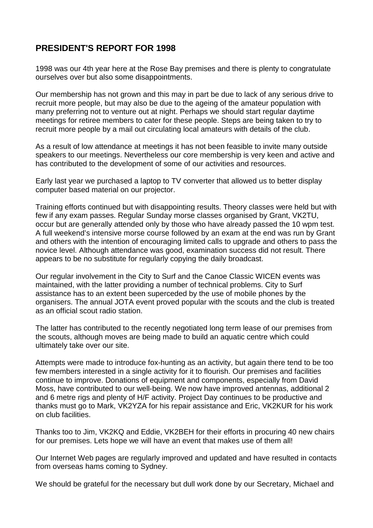## **PRESIDENT'S REPORT FOR 1998**

1998 was our 4th year here at the Rose Bay premises and there is plenty to congratulate ourselves over but also some disappointments.

Our membership has not grown and this may in part be due to lack of any serious drive to recruit more people, but may also be due to the ageing of the amateur population with many preferring not to venture out at night. Perhaps we should start regular daytime meetings for retiree members to cater for these people. Steps are being taken to try to recruit more people by a mail out circulating local amateurs with details of the club.

As a result of low attendance at meetings it has not been feasible to invite many outside speakers to our meetings. Nevertheless our core membership is very keen and active and has contributed to the development of some of our activities and resources.

Early last year we purchased a laptop to TV converter that allowed us to better display computer based material on our projector.

Training efforts continued but with disappointing results. Theory classes were held but with few if any exam passes. Regular Sunday morse classes organised by Grant, VK2TU, occur but are generally attended only by those who have already passed the 10 wpm test. A full weekend's intensive morse course followed by an exam at the end was run by Grant and others with the intention of encouraging limited calls to upgrade and others to pass the novice level. Although attendance was good, examination success did not result. There appears to be no substitute for regularly copying the daily broadcast.

Our regular involvement in the City to Surf and the Canoe Classic WICEN events was maintained, with the latter providing a number of technical problems. City to Surf assistance has to an extent been superceded by the use of mobile phones by the organisers. The annual JOTA event proved popular with the scouts and the club is treated as an official scout radio station.

The latter has contributed to the recently negotiated long term lease of our premises from the scouts, although moves are being made to build an aquatic centre which could ultimately take over our site.

Attempts were made to introduce fox-hunting as an activity, but again there tend to be too few members interested in a single activity for it to flourish. Our premises and facilities continue to improve. Donations of equipment and components, especially from David Moss, have contributed to our well-being. We now have improved antennas, additional 2 and 6 metre rigs and plenty of H/F activity. Project Day continues to be productive and thanks must go to Mark, VK2YZA for his repair assistance and Eric, VK2KUR for his work on club facilities.

Thanks too to Jim, VK2KQ and Eddie, VK2BEH for their efforts in procuring 40 new chairs for our premises. Lets hope we will have an event that makes use of them all!

Our Internet Web pages are regularly improved and updated and have resulted in contacts from overseas hams coming to Sydney.

We should be grateful for the necessary but dull work done by our Secretary, Michael and